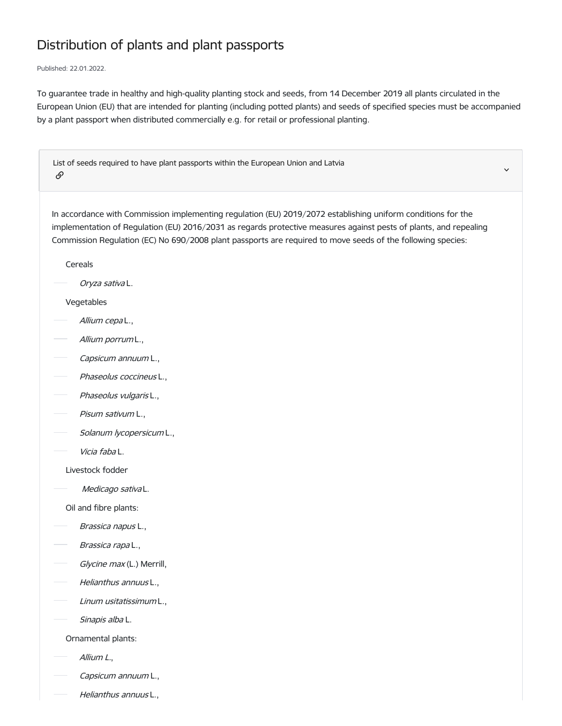## Distribution of plants and plant passports

Published: 22.01.2022.

To guarantee trade in healthy and high-quality planting stock and seeds, from 14 December 2019 all plants circulated in the European Union (EU) that are intended for planting (including potted plants) and seeds of specified species must be accompanied by a plant passport when distributed commercially e.g. for retail or professional planting.

v.

List of seeds required to have plant passports within the European Union and Latvia  $\mathscr{O}$ 

In accordance with Commission implementing regulation (EU) 2019/2072 establishing uniform conditions for the implementation of Regulation (EU) 2016/2031 as regards protective measures against pests of plants, and repealing Commission Regulation (EC) No 690/2008 plant passports are required to move seeds of the following species:

Cereals

Oryza sativa L.

## Vegetables

- Allium cepa L.,
- Allium porrum L.,
- Capsicum annuum L.,
- Phaseolus coccineus L.,
- Phaseolus vulgaris L.,
- Pisum sativum L.,
- Solanum lycopersicum L.,
- Vicia faba L.
	- Livestock fodder
- Medicago satival.

Oil and fibre plants:

- Brassica napus L.,
- Brassica rapa L.,
- Glycine max (L.) Merrill,
- Helianthus annuus L.,
- Linum usitatissimum L.,
- Sinapis alba L.

Ornamental plants:

- Allium L.,
- Capsicum annuum L.,
- Helianthus annuus L.,